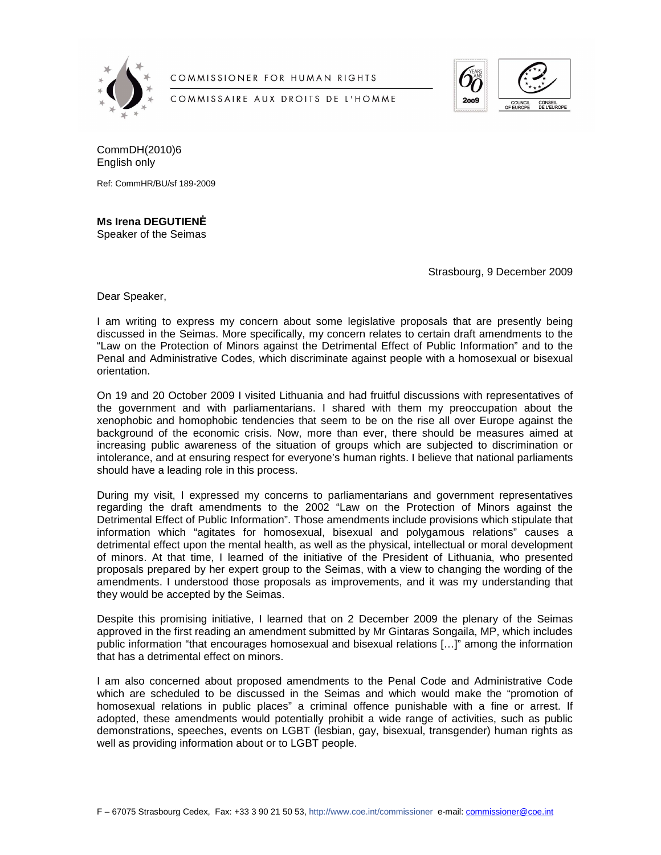

COMMISSIONER FOR HUMAN RIGHTS

COMMISSAIRE AUX DROITS DE L'HOMME



CommDH(2010)6 English only

Ref: CommHR/BU/sf 189-2009

## **Ms Irena DEGUTIEN**ö

Speaker of the Seimas

Strasbourg, 9 December 2009

Dear Speaker,

I am writing to express my concern about some legislative proposals that are presently being discussed in the Seimas. More specifically, my concern relates to certain draft amendments to the "Law on the Protection of Minors against the Detrimental Effect of Public Information" and to the Penal and Administrative Codes, which discriminate against people with a homosexual or bisexual orientation.

On 19 and 20 October 2009 I visited Lithuania and had fruitful discussions with representatives of the government and with parliamentarians. I shared with them my preoccupation about the xenophobic and homophobic tendencies that seem to be on the rise all over Europe against the background of the economic crisis. Now, more than ever, there should be measures aimed at increasing public awareness of the situation of groups which are subjected to discrimination or intolerance, and at ensuring respect for everyone's human rights. I believe that national parliaments should have a leading role in this process.

During my visit, I expressed my concerns to parliamentarians and government representatives regarding the draft amendments to the 2002 "Law on the Protection of Minors against the Detrimental Effect of Public Information". Those amendments include provisions which stipulate that information which "agitates for homosexual, bisexual and polygamous relations" causes a detrimental effect upon the mental health, as well as the physical, intellectual or moral development of minors. At that time, I learned of the initiative of the President of Lithuania, who presented proposals prepared by her expert group to the Seimas, with a view to changing the wording of the amendments. I understood those proposals as improvements, and it was my understanding that they would be accepted by the Seimas.

Despite this promising initiative, I learned that on 2 December 2009 the plenary of the Seimas approved in the first reading an amendment submitted by Mr Gintaras Songaila, MP, which includes public information "that encourages homosexual and bisexual relations […]" among the information that has a detrimental effect on minors.

I am also concerned about proposed amendments to the Penal Code and Administrative Code which are scheduled to be discussed in the Seimas and which would make the "promotion of homosexual relations in public places" a criminal offence punishable with a fine or arrest. If adopted, these amendments would potentially prohibit a wide range of activities, such as public demonstrations, speeches, events on LGBT (lesbian, gay, bisexual, transgender) human rights as well as providing information about or to LGBT people.